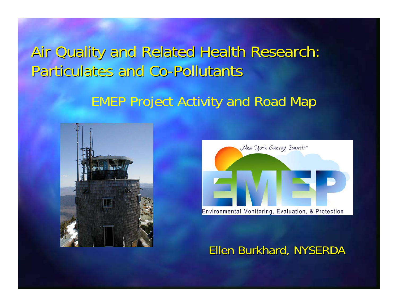### Air Quality and Related Health Research: Particulates and Co-Pollutants

### EMEP Project Activity and Road Map





#### Ellen Burkhard, NYSERDA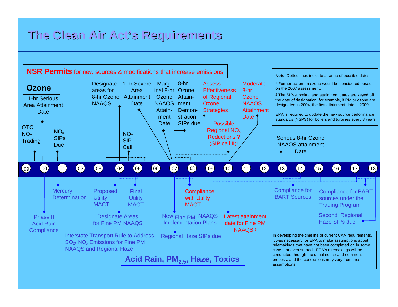#### **The Clean Air Act's Requirements The Clean Air Act's Requirements**

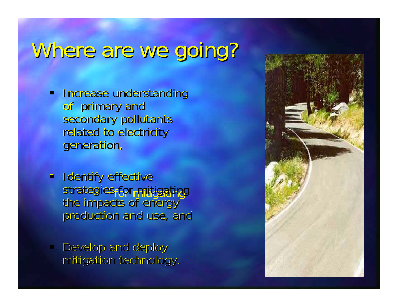# Where are we going?

- **Increase understanding** of primary and secondary pollutants related to electricity generation,
- **Identify effective** strategies for mitigating the impacts of energy production and use, and
- $\blacksquare$ Develop and deploy mitigation technology.

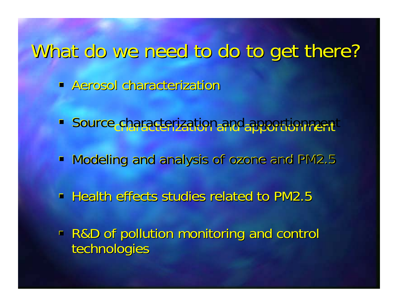## What do we need to do to get there?

- **Aerosol characterization**
- **Source characterization and apportionment**
- Modeling and analysis of ozone and PM2.5
- **Health effects studies related to PM2.5**
- R&D of pollution monitoring and control R&D of pollution monitoring and control technologies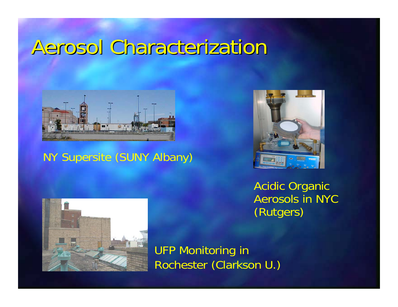## Aerosol Characterization



NY Supersite (SUNY Albany)



Acidic Organic Aerosols in NYC (Rutgers)



UFP Monitoring in Rochester (Clarkson U.)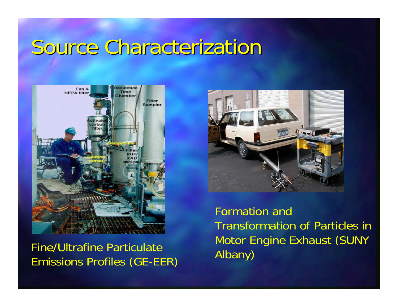## Source Characterization



Fine/Ultrafine Particulate Emissions Profiles (GE-EER)



Formation and Transformation of Particles in Motor Engine Exhaust (SUNY Albany)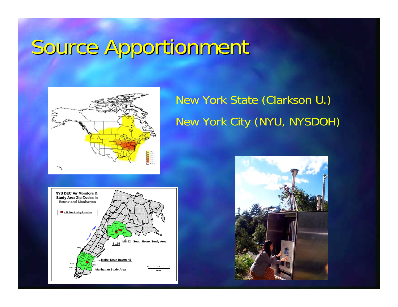# Source Apportionment Source Apportionment



### New York State (Clarkson U.) New York City (NYU, NYSDOH)



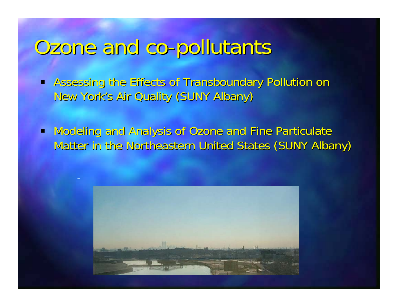# Ozone and co-pollutants Ozone and co-pollutants

**- Assessing the Effects of Transboundary Pollution on** New York's Air Quality (SUNY Albany)

 $\blacksquare$ Modeling and Analysis of Ozone and Fine Particulate Matter in the Northeastern United States (SUNY Albany)

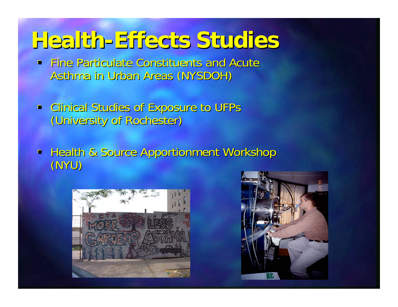## **Health-Effects Studies Health-Effects Studies**

- $\blacksquare$  Fine Particulate Constituents and Acute Asthma in Urban Areas (NYSDOH)
- **-** Clinical Studies of Exposure to UFPs (University of Rochester) (University of Rochester)
- **Health & Source Apportionment Workshop** (NYU)



![](_page_8_Picture_5.jpeg)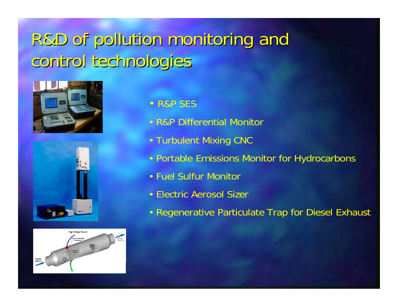## R&D of pollution monitoring and control technologies

![](_page_9_Picture_1.jpeg)

![](_page_9_Picture_2.jpeg)

![](_page_9_Figure_3.jpeg)

- R&P SES
- R&P Differential Monitor
- Turbulent Mixing CNC
- Portable Emissions Monitor for Hydrocarbons
- Fuel Sulfur Monitor
- Electric Aerosol Sizer
- Regenerative Particulate Trap for Diesel Exhaust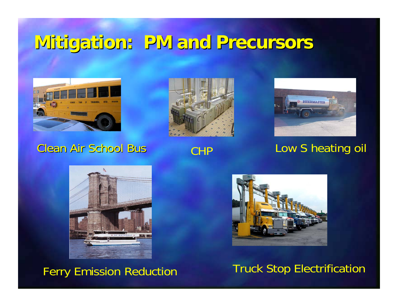### **Mitigation: Mitigation: PM and Precursors PM and Precursors**

![](_page_10_Picture_1.jpeg)

#### **Clean Air School Bus**

![](_page_10_Picture_3.jpeg)

![](_page_10_Picture_5.jpeg)

### CHP Low S heating oil

![](_page_10_Picture_7.jpeg)

Ferry Emission Reduction Truck Stop Electrification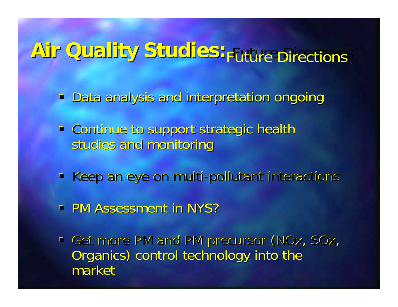# **Air Quality Studies: Air Quality Studies:** Future Directions Future Directions

- **Data analysis and interpretation ongoing**
- **Continue to support strategic health** studies and monitoring
- Keep an eye on multi-pollutant interactions
- **PM Assessment in NYS?**
- Get more PM and PM precursor (NOx, SOx, Organics) control technology into the market